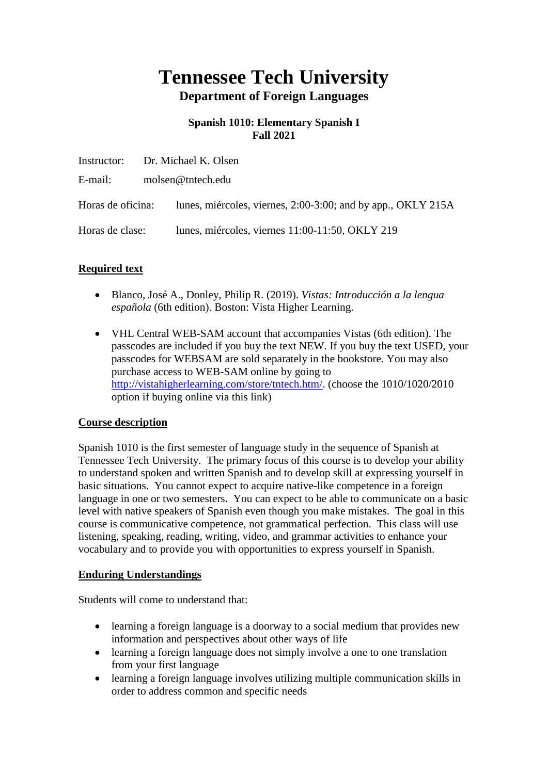# **Tennessee Tech University Department of Foreign Languages**

# **Spanish 1010: Elementary Spanish I Fall 2021**

|                 | Instructor: Dr. Michael K. Olsen                                               |  |  |
|-----------------|--------------------------------------------------------------------------------|--|--|
| E-mail:         | molsen@tntech.edu                                                              |  |  |
|                 | Horas de oficina: lunes, miércoles, viernes, 2:00-3:00; and by app., OKLY 215A |  |  |
| Horas de clase: | lunes, miércoles, viernes 11:00-11:50, OKLY 219                                |  |  |

# **Required text**

- Blanco, José A., Donley, Philip R. (2019). *Vistas: Introducción a la lengua española* (6th edition). Boston: Vista Higher Learning.
- VHL Central WEB-SAM account that accompanies Vistas (6th edition). The passcodes are included if you buy the text NEW. If you buy the text USED, your passcodes for WEBSAM are sold separately in the bookstore. You may also purchase access to WEB-SAM online by going to [http://vistahigherlearning.com/store/tntech.htm/.](http://vistahigherlearning.com/store/tntech.htm/) (choose the 1010/1020/2010 option if buying online via this link)

#### **Course description**

Spanish 1010 is the first semester of language study in the sequence of Spanish at Tennessee Tech University. The primary focus of this course is to develop your ability to understand spoken and written Spanish and to develop skill at expressing yourself in basic situations. You cannot expect to acquire native-like competence in a foreign language in one or two semesters. You can expect to be able to communicate on a basic level with native speakers of Spanish even though you make mistakes. The goal in this course is communicative competence, not grammatical perfection. This class will use listening, speaking, reading, writing, video, and grammar activities to enhance your vocabulary and to provide you with opportunities to express yourself in Spanish.

#### **Enduring Understandings**

Students will come to understand that:

- learning a foreign language is a doorway to a social medium that provides new information and perspectives about other ways of life
- learning a foreign language does not simply involve a one to one translation from your first language
- learning a foreign language involves utilizing multiple communication skills in order to address common and specific needs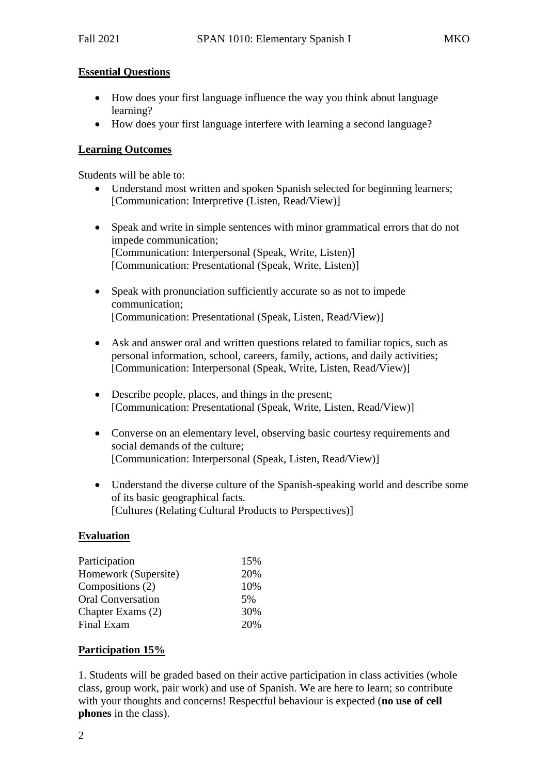#### **Essential Questions**

- How does your first language influence the way you think about language learning?
- How does your first language interfere with learning a second language?

#### **Learning Outcomes**

Students will be able to:

- Understand most written and spoken Spanish selected for beginning learners; [Communication: Interpretive (Listen, Read/View)]
- Speak and write in simple sentences with minor grammatical errors that do not impede communication; [Communication: Interpersonal (Speak, Write, Listen)] [Communication: Presentational (Speak, Write, Listen)]
- Speak with pronunciation sufficiently accurate so as not to impede communication; [Communication: Presentational (Speak, Listen, Read/View)]
- Ask and answer oral and written questions related to familiar topics, such as personal information, school, careers, family, actions, and daily activities; [Communication: Interpersonal (Speak, Write, Listen, Read/View)]
- Describe people, places, and things in the present; [Communication: Presentational (Speak, Write, Listen, Read/View)]
- Converse on an elementary level, observing basic courtesy requirements and social demands of the culture; [Communication: Interpersonal (Speak, Listen, Read/View)]
- Understand the diverse culture of the Spanish-speaking world and describe some of its basic geographical facts. [Cultures (Relating Cultural Products to Perspectives)]

#### **Evaluation**

| 15% |  |
|-----|--|
| 20% |  |
| 10% |  |
| 5%  |  |
| 30% |  |
| 20% |  |
|     |  |

#### **Participation 15%**

1. Students will be graded based on their active participation in class activities (whole class, group work, pair work) and use of Spanish. We are here to learn; so contribute with your thoughts and concerns! Respectful behaviour is expected (**no use of cell phones** in the class).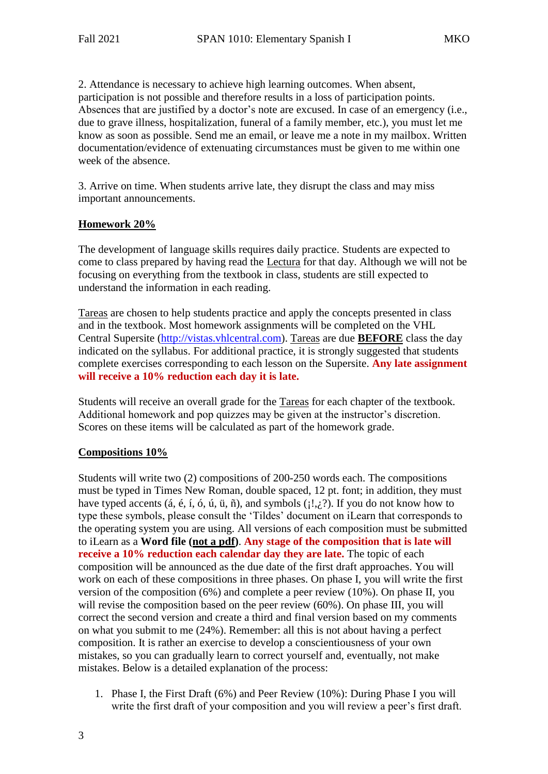2. Attendance is necessary to achieve high learning outcomes. When absent, participation is not possible and therefore results in a loss of participation points. Absences that are justified by a doctor's note are excused. In case of an emergency (i.e., due to grave illness, hospitalization, funeral of a family member, etc.), you must let me know as soon as possible. Send me an email, or leave me a note in my mailbox. Written documentation/evidence of extenuating circumstances must be given to me within one week of the absence.

3. Arrive on time. When students arrive late, they disrupt the class and may miss important announcements.

#### **Homework 20%**

The development of language skills requires daily practice. Students are expected to come to class prepared by having read the Lectura for that day. Although we will not be focusing on everything from the textbook in class, students are still expected to understand the information in each reading.

Tareas are chosen to help students practice and apply the concepts presented in class and in the textbook. Most homework assignments will be completed on the VHL Central Supersite [\(http://vistas.vhlcentral.com\)](http://vistas.vhlcentral.com/). Tareas are due **BEFORE** class the day indicated on the syllabus. For additional practice, it is strongly suggested that students complete exercises corresponding to each lesson on the Supersite. **Any late assignment will receive a 10% reduction each day it is late.**

Students will receive an overall grade for the Tareas for each chapter of the textbook. Additional homework and pop quizzes may be given at the instructor's discretion. Scores on these items will be calculated as part of the homework grade.

#### **Compositions 10%**

Students will write two (2) compositions of 200-250 words each. The compositions must be typed in Times New Roman, double spaced, 12 pt. font; in addition, they must have typed accents (*á*, é, í, ó, ú, ü, ñ), and symbols ( $\langle i! \rangle$ ). If you do not know how to type these symbols, please consult the 'Tildes' document on iLearn that corresponds to the operating system you are using. All versions of each composition must be submitted to iLearn as a **Word file (not a pdf)**. **Any stage of the composition that is late will receive a 10% reduction each calendar day they are late.** The topic of each composition will be announced as the due date of the first draft approaches. You will work on each of these compositions in three phases. On phase I, you will write the first version of the composition (6%) and complete a peer review (10%). On phase II, you will revise the composition based on the peer review (60%). On phase III, you will correct the second version and create a third and final version based on my comments on what you submit to me (24%). Remember: all this is not about having a perfect composition. It is rather an exercise to develop a conscientiousness of your own mistakes, so you can gradually learn to correct yourself and, eventually, not make mistakes. Below is a detailed explanation of the process:

1. Phase I, the First Draft (6%) and Peer Review (10%): During Phase I you will write the first draft of your composition and you will review a peer's first draft.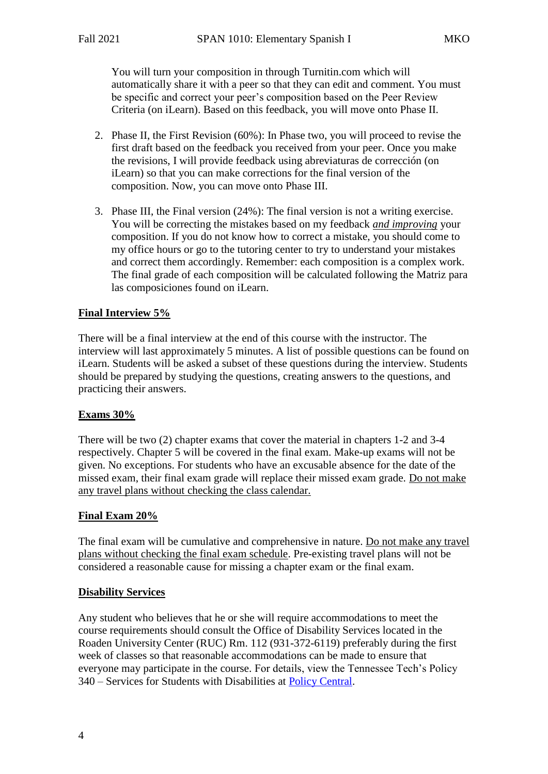You will turn your composition in through Turnitin.com which will automatically share it with a peer so that they can edit and comment. You must be specific and correct your peer's composition based on the Peer Review Criteria (on iLearn). Based on this feedback, you will move onto Phase II.

- 2. Phase II, the First Revision (60%): In Phase two, you will proceed to revise the first draft based on the feedback you received from your peer. Once you make the revisions, I will provide feedback using abreviaturas de corrección (on iLearn) so that you can make corrections for the final version of the composition. Now, you can move onto Phase III.
- 3. Phase III, the Final version (24%): The final version is not a writing exercise. You will be correcting the mistakes based on my feedback *and improving* your composition. If you do not know how to correct a mistake, you should come to my office hours or go to the tutoring center to try to understand your mistakes and correct them accordingly. Remember: each composition is a complex work. The final grade of each composition will be calculated following the Matriz para las composiciones found on iLearn.

# **Final Interview 5%**

There will be a final interview at the end of this course with the instructor. The interview will last approximately 5 minutes. A list of possible questions can be found on iLearn. Students will be asked a subset of these questions during the interview. Students should be prepared by studying the questions, creating answers to the questions, and practicing their answers.

#### **Exams 30%**

There will be two (2) chapter exams that cover the material in chapters 1-2 and 3-4 respectively. Chapter 5 will be covered in the final exam. Make-up exams will not be given. No exceptions. For students who have an excusable absence for the date of the missed exam, their final exam grade will replace their missed exam grade. Do not make any travel plans without checking the class calendar.

#### **Final Exam 20%**

The final exam will be cumulative and comprehensive in nature. Do not make any travel plans without checking the final exam schedule. Pre-existing travel plans will not be considered a reasonable cause for missing a chapter exam or the final exam.

#### **Disability Services**

Any student who believes that he or she will require accommodations to meet the course requirements should consult the Office of Disability Services located in the Roaden University Center (RUC) Rm. 112 (931-372-6119) preferably during the first week of classes so that reasonable accommodations can be made to ensure that everyone may participate in the course. For details, view the Tennessee Tech's Policy 340 – Services for Students with Disabilities at [Policy Central.](https://www.tntech.edu/policies/)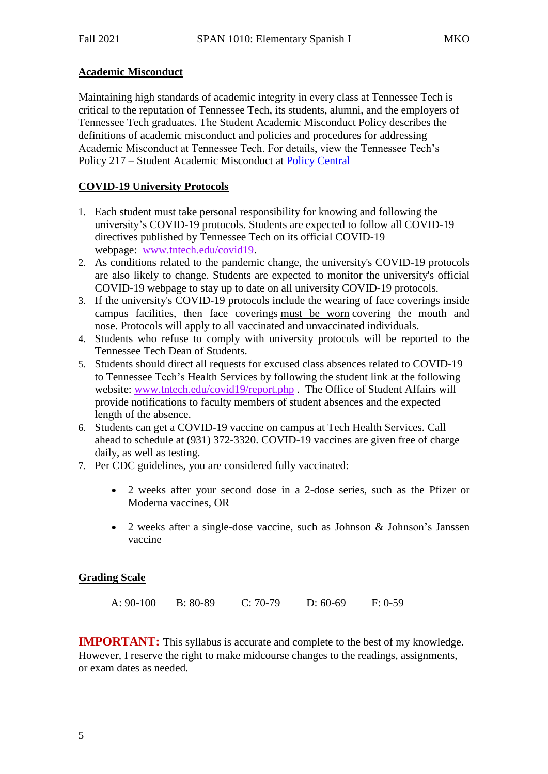# **Academic Misconduct**

Maintaining high standards of academic integrity in every class at Tennessee Tech is critical to the reputation of Tennessee Tech, its students, alumni, and the employers of Tennessee Tech graduates. The Student Academic Misconduct Policy describes the definitions of academic misconduct and policies and procedures for addressing Academic Misconduct at Tennessee Tech. For details, view the Tennessee Tech's Policy 217 – Student Academic Misconduct at [Policy Central](https://www.tntech.edu/policies/)

# **COVID-19 University Protocols**

- 1. Each student must take personal responsibility for knowing and following the university's COVID-19 protocols. Students are expected to follow all COVID-19 directives published by Tennessee Tech on its official COVID-19 webpage: [www.tntech.edu/covid19.](http://www.tntech.edu/covid19)
- 2. As conditions related to the pandemic change, the university's COVID-19 protocols are also likely to change. Students are expected to monitor the university's official COVID-19 webpage to stay up to date on all university COVID-19 protocols.
- 3. If the university's COVID-19 protocols include the wearing of face coverings inside campus facilities, then face coverings must be worn covering the mouth and nose. Protocols will apply to all vaccinated and unvaccinated individuals.
- 4. Students who refuse to comply with university protocols will be reported to the Tennessee Tech Dean of Students.
- 5. Students should direct all requests for excused class absences related to COVID-19 to Tennessee Tech's Health Services by following the student link at the following website: [www.tntech.edu/covid19/report.php](http://www.tntech.edu/covid19/report.php) . The Office of Student Affairs will provide notifications to faculty members of student absences and the expected length of the absence.
- 6. Students can get a COVID-19 vaccine on campus at Tech Health Services. Call ahead to schedule at (931) 372-3320. COVID-19 vaccines are given free of charge daily, as well as testing.
- 7. Per CDC guidelines, you are considered fully vaccinated:
	- 2 weeks after your second dose in a 2-dose series, such as the Pfizer or Moderna vaccines, OR
	- 2 weeks after a single-dose vaccine, such as Johnson & Johnson's Janssen vaccine

#### **Grading Scale**

**IMPORTANT:** This syllabus is accurate and complete to the best of my knowledge. However, I reserve the right to make midcourse changes to the readings, assignments, or exam dates as needed.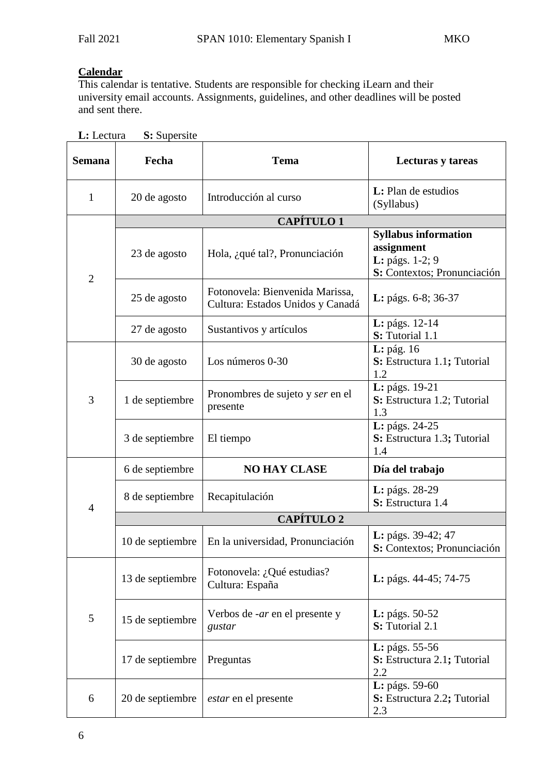# **Calendar**

This calendar is tentative. Students are responsible for checking iLearn and their university email accounts. Assignments, guidelines, and other deadlines will be posted and sent there.

| <b>Semana</b>  | Fecha             | <b>Tema</b>                                                         | Lecturas y tareas                                                                           |  |  |  |  |
|----------------|-------------------|---------------------------------------------------------------------|---------------------------------------------------------------------------------------------|--|--|--|--|
| 1              | 20 de agosto      | Introducción al curso                                               | <b>L</b> : Plan de estudios<br>(Syllabus)                                                   |  |  |  |  |
|                | <b>CAPÍTULO 1</b> |                                                                     |                                                                                             |  |  |  |  |
| $\overline{2}$ | 23 de agosto      | Hola, ¿qué tal?, Pronunciación                                      | <b>Syllabus information</b><br>assignment<br>L: págs. 1-2; 9<br>S: Contextos; Pronunciación |  |  |  |  |
|                | 25 de agosto      | Fotonovela: Bienvenida Marissa,<br>Cultura: Estados Unidos y Canadá | L: págs. 6-8; 36-37                                                                         |  |  |  |  |
|                | 27 de agosto      | Sustantivos y artículos                                             | L: págs. 12-14<br>S: Tutorial 1.1                                                           |  |  |  |  |
| 3              | 30 de agosto      | Los números 0-30                                                    | $L:$ pág. 16<br>S: Estructura 1.1; Tutorial<br>1.2                                          |  |  |  |  |
|                | 1 de septiembre   | Pronombres de sujeto y ser en el<br>presente                        | L: págs. 19-21<br>S: Estructura 1.2; Tutorial<br>1.3                                        |  |  |  |  |
|                | 3 de septiembre   | El tiempo                                                           | L: págs. 24-25<br>S: Estructura 1.3; Tutorial<br>1.4                                        |  |  |  |  |
| $\overline{4}$ | 6 de septiembre   | <b>NO HAY CLASE</b>                                                 | Día del trabajo                                                                             |  |  |  |  |
|                | 8 de septiembre   | Recapitulación                                                      | L: págs. 28-29<br>S: Estructura 1.4                                                         |  |  |  |  |
|                | <b>CAPÍTULO 2</b> |                                                                     |                                                                                             |  |  |  |  |
|                | 10 de septiembre  | En la universidad, Pronunciación                                    | L: págs. 39-42; 47<br>S: Contextos; Pronunciación                                           |  |  |  |  |
| 5              | 13 de septiembre  | Fotonovela: ¿Qué estudias?<br>Cultura: España                       | L: págs. 44-45; 74-75                                                                       |  |  |  |  |
|                | 15 de septiembre  | Verbos de <i>-ar</i> en el presente y<br>gustar                     | <b>L</b> : págs. 50-52<br>S: Tutorial 2.1                                                   |  |  |  |  |
|                | 17 de septiembre  | Preguntas                                                           | <b>L</b> : págs. $55-56$<br>S: Estructura 2.1; Tutorial<br>2.2                              |  |  |  |  |
| 6              | 20 de septiembre  | <i>estar</i> en el presente                                         | <b>L</b> : págs. 59-60<br>S: Estructura 2.2; Tutorial<br>2.3                                |  |  |  |  |

**L:** Lectura **S:** Supersite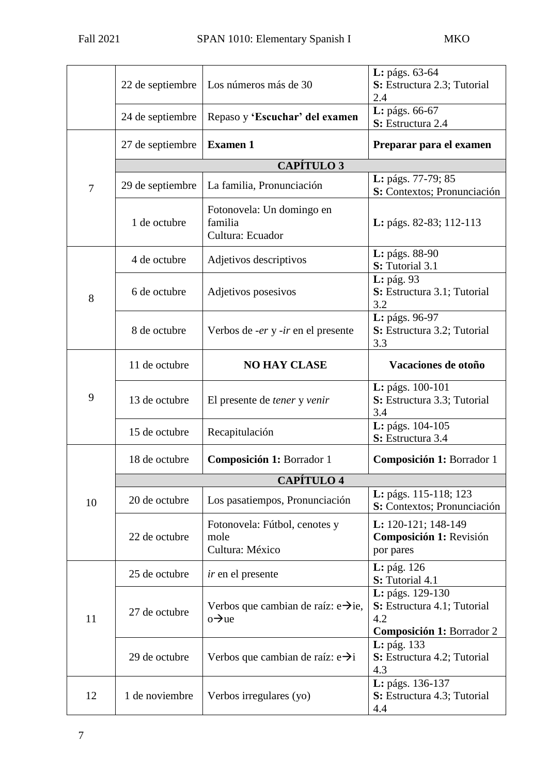|        | 22 de septiembre  | Los números más de 30                                                  | L: págs. 63-64<br>S: Estructura 2.3; Tutorial<br>2.4                           |  |  |  |  |  |
|--------|-------------------|------------------------------------------------------------------------|--------------------------------------------------------------------------------|--|--|--|--|--|
|        | 24 de septiembre  | Repaso y 'Escuchar' del examen                                         | L: págs. 66-67<br>S: Estructura 2.4                                            |  |  |  |  |  |
|        | 27 de septiembre  | <b>Examen 1</b>                                                        | Preparar para el examen                                                        |  |  |  |  |  |
|        | <b>CAPÍTULO 3</b> |                                                                        |                                                                                |  |  |  |  |  |
| $\tau$ | 29 de septiembre  | La familia, Pronunciación                                              | L: págs. 77-79; 85<br>S: Contextos; Pronunciación                              |  |  |  |  |  |
|        | 1 de octubre      | Fotonovela: Un domingo en<br>familia<br>Cultura: Ecuador               | <b>L</b> : págs. 82-83; 112-113                                                |  |  |  |  |  |
| 8      | 4 de octubre      | Adjetivos descriptivos                                                 | L: págs. 88-90<br>S: Tutorial 3.1                                              |  |  |  |  |  |
|        | 6 de octubre      | Adjetivos posesivos                                                    | L: pág. 93<br>S: Estructura 3.1; Tutorial<br>3.2                               |  |  |  |  |  |
|        | 8 de octubre      | Verbos de <i>-er</i> y <i>-ir</i> en el presente                       | L: págs. 96-97<br>S: Estructura 3.2; Tutorial<br>3.3                           |  |  |  |  |  |
| 9      | 11 de octubre     | <b>NO HAY CLASE</b>                                                    | Vacaciones de otoño                                                            |  |  |  |  |  |
|        | 13 de octubre     | El presente de <i>tener</i> y <i>venir</i>                             | L: págs. 100-101<br>S: Estructura 3.3; Tutorial<br>3.4                         |  |  |  |  |  |
|        | 15 de octubre     | Recapitulación                                                         | L: págs. 104-105<br>S: Estructura 3.4                                          |  |  |  |  |  |
|        | 18 de octubre     | Composición 1: Borrador 1                                              | Composición 1: Borrador 1                                                      |  |  |  |  |  |
|        | <b>CAPÍTULO 4</b> |                                                                        |                                                                                |  |  |  |  |  |
| 10     | 20 de octubre     | Los pasatiempos, Pronunciación                                         | L: págs. 115-118; 123<br>S: Contextos; Pronunciación                           |  |  |  |  |  |
|        | 22 de octubre     | Fotonovela: Fútbol, cenotes y<br>mole<br>Cultura: México               | L: 120-121; 148-149<br>Composición 1: Revisión<br>por pares                    |  |  |  |  |  |
| 11     | 25 de octubre     | <i>ir</i> en el presente                                               | L: pág. 126<br>S: Tutorial 4.1                                                 |  |  |  |  |  |
|        | 27 de octubre     | Verbos que cambian de raíz: $e\rightarrow ie$ ,<br>$0 \rightarrow u e$ | L: págs. 129-130<br>S: Estructura 4.1; Tutorial<br>4.2                         |  |  |  |  |  |
|        | 29 de octubre     | Verbos que cambian de raíz: $e \rightarrow i$                          | Composición 1: Borrador 2<br>L: pág. 133<br>S: Estructura 4.2; Tutorial<br>4.3 |  |  |  |  |  |
| 12     | 1 de noviembre    | Verbos irregulares (yo)                                                | L: págs. 136-137<br>S: Estructura 4.3; Tutorial<br>4.4                         |  |  |  |  |  |